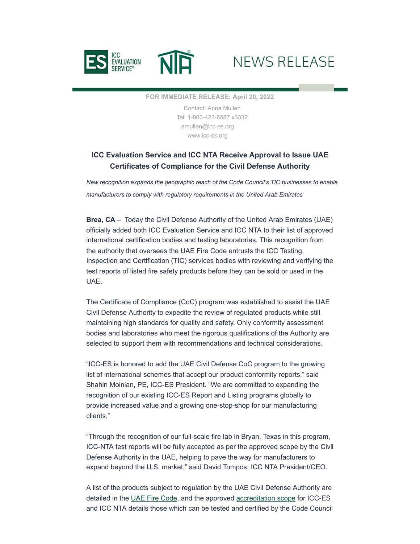

## NEWS RELEASE

**FOR IMMEDIATE RELEASE: April 20, 2022**

Contact: Anna Mullen Tel: 1-800-423-6587 x3332 [amullen@icc-es.org](mailto:amullen@icc-es.org) [www.icc-es.org](https://www.icc-es.org/?utm_source=hs_email&utm_medium=email&_hsenc=p2ANqtz-_YB01pyYMdR194o0dI9PZZitbPsxpwfzd1nsJ9Fgbb31plDUZrcdlIHKHdoodP6J1Thfp1)

## **ICC Evaluation Service and ICC NTA Receive Approval to Issue UAE Certificates of Compliance for the Civil Defense Authority**

*New recognition expands the geographic reach of the Code Council's TIC businesses to enable manufacturers to comply with regulatory requirements in the United Arab Emirates*

**Brea, CA** – Today the Civil Defense Authority of the United Arab Emirates (UAE) officially added both ICC Evaluation Service and ICC NTA to their list of approved international certification bodies and testing laboratories. This recognition from the authority that oversees the UAE Fire Code entrusts the ICC Testing, Inspection and Certification (TIC) services bodies with reviewing and verifying the test reports of listed fire safety products before they can be sold or used in the UAE.

The Certificate of Compliance (CoC) program was established to assist the UAE Civil Defense Authority to expedite the review of regulated products while still maintaining high standards for quality and safety. Only conformity assessment bodies and laboratories who meet the rigorous qualifications of the Authority are selected to support them with recommendations and technical considerations.

"ICC-ES is honored to add the UAE Civil Defense CoC program to the growing list of international schemes that accept our product conformity reports," said Shahin Moinian, PE, ICC-ES President. "We are committed to expanding the recognition of our existing ICC-ES Report and Listing programs globally to provide increased value and a growing one-stop-shop for our manufacturing clients."

"Through the recognition of our full-scale fire lab in Bryan, Texas in this program, ICC-NTA test reports will be fully accepted as per the approved scope by the Civil Defense Authority in the UAE, helping to pave the way for manufacturers to expand beyond the U.S. market," said David Tompos, ICC NTA President/CEO.

A list of the products subject to regulation by the UAE Civil Defense Authority are detailed in the [UAE Fire Code](https://www.dcd.gov.ae/portal/eng/UAEFIRECODE_ENG.pdf?utm_source=hs_email&utm_medium=email&_hsenc=p2ANqtz-_YB01pyYMdR194o0dI9PZZitbPsxpwfzd1nsJ9Fgbb31plDUZrcdlIHKHdoodP6J1Thfp1), and the approved [accreditation scope](https://www.dcd.gov.ae/portal/portal/licensing/LABORATORY%20LIST%20FINAL_2022.pdf?utm_source=hs_email&utm_medium=email&_hsenc=p2ANqtz-_YB01pyYMdR194o0dI9PZZitbPsxpwfzd1nsJ9Fgbb31plDUZrcdlIHKHdoodP6J1Thfp1) for ICC-ES and ICC NTA details those which can be tested and certified by the Code Council